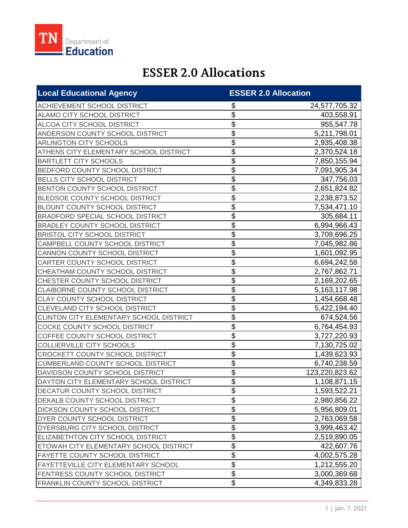

## **ESSER 2.0 Allocations**

| <b>Local Educational Agency</b>            | <b>ESSER 2.0 Allocation</b> |                |
|--------------------------------------------|-----------------------------|----------------|
| ACHIEVEMENT SCHOOL DISTRICT                | \$                          | 24,577,705.32  |
| ALAMO CITY SCHOOL DISTRICT                 | \$                          | 403,558.91     |
| ALCOA CITY SCHOOL DISTRICT                 | \$                          | 955,547.78     |
| ANDERSON COUNTY SCHOOL DISTRICT            | \$                          | 5,211,798.01   |
| ARLINGTON CITY SCHOOLS                     | \$                          | 2,935,408.38   |
| ATHENS CITY ELEMENTARY SCHOOL DISTRICT     | \$                          | 2,370,524.18   |
| <b>BARTLETT CITY SCHOOLS</b>               | \$                          | 7,850,155.94   |
| BEDFORD COUNTY SCHOOL DISTRICT             | \$                          | 7,091,905.34   |
| <b>BELLS CITY SCHOOL DISTRICT</b>          | \$                          | 347,756.03     |
| BENTON COUNTY SCHOOL DISTRICT              | \$                          | 2,651,824.82   |
| BLEDSOE COUNTY SCHOOL DISTRICT             | \$                          | 2,238,873.52   |
| <b>BLOUNT COUNTY SCHOOL DISTRICT</b>       | \$                          | 7,534,471.10   |
| BRADFORD SPECIAL SCHOOL DISTRICT           | \$                          | 305,684.11     |
| <b>BRADLEY COUNTY SCHOOL DISTRICT</b>      | $\overline{\mathfrak{s}}$   | 6,994,966.43   |
| <b>BRISTOL CITY SCHOOL DISTRICT</b>        | \$                          | 3,709,696.25   |
| CAMPBELL COUNTY SCHOOL DISTRICT            | \$                          | 7,045,982.86   |
| CANNON COUNTY SCHOOL DISTRICT              | \$                          | 1,601,092.95   |
| CARTER COUNTY SCHOOL DISTRICT              | \$                          | 6,694,242.58   |
| CHEATHAM COUNTY SCHOOL DISTRICT            | \$                          | 2,767,862.71   |
| CHESTER COUNTY SCHOOL DISTRICT             | \$                          | 2,169,202.65   |
| CLAIBORNE COUNTY SCHOOL DISTRICT           | \$                          | 5,163,117.98   |
| <b>CLAY COUNTY SCHOOL DISTRICT</b>         | \$                          | 1,454,668.48   |
| CLEVELAND CITY SCHOOL DISTRICT             | \$                          | 5,422,194.40   |
| CLINTON CITY ELEMENTARY SCHOOL DISTRICT    | \$                          | 674,524.56     |
| COCKE COUNTY SCHOOL DISTRICT               | \$                          | 6,764,454.93   |
| COFFEE COUNTY SCHOOL DISTRICT              | \$                          | 3,727,220.93   |
| <b>COLLIERVILLE CITY SCHOOLS</b>           | \$                          | 7,130,725.02   |
| CROCKETT COUNTY SCHOOL DISTRICT            | \$                          | 1,439,623.93   |
| <b>CUMBERLAND COUNTY SCHOOL DISTRICT</b>   | $\overline{\mathfrak{s}}$   | 6,740,238.59   |
| DAVIDSON COUNTY SCHOOL DISTRICT            | $\overline{\$}$             | 123,220,823.62 |
| DAYTON CITY ELEMENTARY SCHOOL DISTRICT     | \$                          | 1,108,871.15   |
| DECATUR COUNTY SCHOOL DISTRICT             | \$                          | 1,593,522.21   |
| DEKALB COUNTY SCHOOL DISTRICT              | \$                          | 2,980,856.22   |
| DICKSON COUNTY SCHOOL DISTRICT             | $\overline{\mathbf{G}}$     | 5,956,809.01   |
| DYER COUNTY SCHOOL DISTRICT                | $\overline{\$}$             | 2,763,069.58   |
| DYERSBURG CITY SCHOOL DISTRICT             | $\overline{\$}$             | 3,999,463.42   |
| ELIZABETHTON CITY SCHOOL DISTRICT          | $\overline{\$}$             | 2,519,890.05   |
| ETOWAH CITY ELEMENTARY SCHOOL DISTRICT     | $\overline{\$}$             | 422,607.76     |
| FAYETTE COUNTY SCHOOL DISTRICT             | $\overline{\$}$             | 4,002,575.28   |
| <b>FAYETTEVILLE CITY ELEMENTARY SCHOOL</b> | $\overline{\$}$             | 1,212,555.20   |
| FENTRESS COUNTY SCHOOL DISTRICT            | $\overline{\$}$             | 3,000,369.68   |
| FRANKLIN COUNTY SCHOOL DISTRICT            | \$                          | 4,349,833.28   |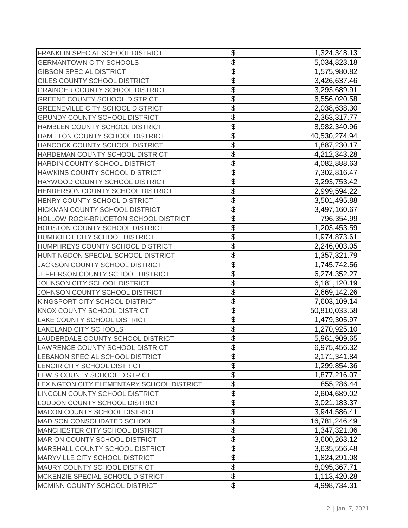| FRANKLIN SPECIAL SCHOOL DISTRICT          | \$                        | 1,324,348.13  |
|-------------------------------------------|---------------------------|---------------|
| <b>GERMANTOWN CITY SCHOOLS</b>            | \$                        | 5,034,823.18  |
| <b>GIBSON SPECIAL DISTRICT</b>            | \$                        | 1,575,980.82  |
| GILES COUNTY SCHOOL DISTRICT              | \$                        | 3,426,637.46  |
| <b>GRAINGER COUNTY SCHOOL DISTRICT</b>    | \$                        | 3,293,689.91  |
| <b>GREENE COUNTY SCHOOL DISTRICT</b>      | \$                        | 6,556,020.58  |
| <b>GREENEVILLE CITY SCHOOL DISTRICT</b>   | \$                        | 2,038,638.30  |
| <b>GRUNDY COUNTY SCHOOL DISTRICT</b>      | \$                        | 2,363,317.77  |
| HAMBLEN COUNTY SCHOOL DISTRICT            | \$                        | 8,982,340.96  |
| HAMILTON COUNTY SCHOOL DISTRICT           | \$                        | 40,530,274.94 |
| HANCOCK COUNTY SCHOOL DISTRICT            | \$                        | 1,887,230.17  |
| HARDEMAN COUNTY SCHOOL DISTRICT           | \$                        | 4,212,343.28  |
| HARDIN COUNTY SCHOOL DISTRICT             | \$                        | 4,082,888.63  |
| HAWKINS COUNTY SCHOOL DISTRICT            | \$                        | 7,302,816.47  |
| HAYWOOD COUNTY SCHOOL DISTRICT            | \$                        | 3,293,753.42  |
| HENDERSON COUNTY SCHOOL DISTRICT          | \$                        | 2,999,594.22  |
| HENRY COUNTY SCHOOL DISTRICT              | \$                        | 3,501,495.88  |
| HICKMAN COUNTY SCHOOL DISTRICT            | \$                        | 3,497,160.67  |
| HOLLOW ROCK-BRUCETON SCHOOL DISTRICT      | \$                        | 796,354.99    |
| HOUSTON COUNTY SCHOOL DISTRICT            | \$                        | 1,203,453.59  |
| HUMBOLDT CITY SCHOOL DISTRICT             | \$                        | 1,974,873.61  |
| HUMPHREYS COUNTY SCHOOL DISTRICT          | \$                        | 2,246,003.05  |
| HUNTINGDON SPECIAL SCHOOL DISTRICT        | \$                        | 1,357,321.79  |
| <b>JACKSON COUNTY SCHOOL DISTRICT</b>     | \$                        | 1,745,742.56  |
| JEFFERSON COUNTY SCHOOL DISTRICT          | \$                        | 6,274,352.27  |
| JOHNSON CITY SCHOOL DISTRICT              | \$                        | 6,181,120.19  |
| JOHNSON COUNTY SCHOOL DISTRICT            | \$                        | 2,669,142.26  |
| KINGSPORT CITY SCHOOL DISTRICT            | \$                        | 7,603,109.14  |
| KNOX COUNTY SCHOOL DISTRICT               | \$                        | 50,810,033.58 |
| LAKE COUNTY SCHOOL DISTRICT               | \$                        | 1,479,305.97  |
| LAKELAND CITY SCHOOLS                     | \$                        | 1,270,925.10  |
| LAUDERDALE COUNTY SCHOOL DISTRICT         | \$                        | 5,961,909.65  |
| LAWRENCE COUNTY SCHOOL DISTRICT           | \$                        | 6,975,456.32  |
| LEBANON SPECIAL SCHOOL DISTRICT           | \$                        | 2,171,341.84  |
| LENOIR CITY SCHOOL DISTRICT               | \$                        | 1,299,854.36  |
| LEWIS COUNTY SCHOOL DISTRICT              | \$                        | 1,877,216.07  |
| LEXINGTON CITY ELEMENTARY SCHOOL DISTRICT | $\overline{\$}$           | 855,286.44    |
| LINCOLN COUNTY SCHOOL DISTRICT            | $\overline{\mathfrak{s}}$ | 2,604,689.02  |
| LOUDON COUNTY SCHOOL DISTRICT             | \$                        | 3,021,183.37  |
| MACON COUNTY SCHOOL DISTRICT              | $\overline{\mathfrak{s}}$ | 3,944,586.41  |
| MADISON CONSOLIDATED SCHOOL               | $\overline{\mathcal{G}}$  | 16,781,246.49 |
| MANCHESTER CITY SCHOOL DISTRICT           | \$                        | 1,347,321.06  |
| MARION COUNTY SCHOOL DISTRICT             | \$                        | 3,600,263.12  |
| MARSHALL COUNTY SCHOOL DISTRICT           | $\overline{\$}$           | 3,635,556.48  |
| MARYVILLE CITY SCHOOL DISTRICT            | \$                        | 1,824,291.08  |
| MAURY COUNTY SCHOOL DISTRICT              | \$                        | 8,095,367.71  |
| MCKENZIE SPECIAL SCHOOL DISTRICT          | $\overline{\$}$           | 1,113,420.28  |
| MCMINN COUNTY SCHOOL DISTRICT             | $\overline{\mathfrak{s}}$ | 4,998,734.31  |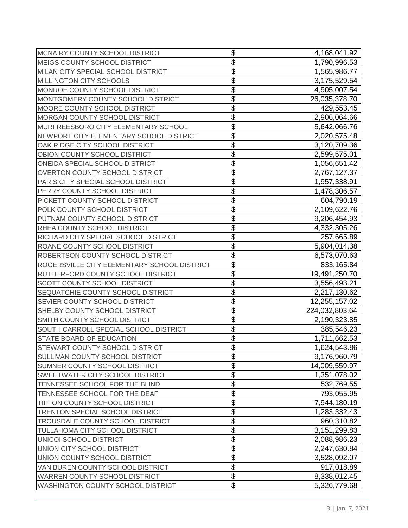| MCNAIRY COUNTY SCHOOL DISTRICT              | \$                       | 4,168,041.92   |
|---------------------------------------------|--------------------------|----------------|
| MEIGS COUNTY SCHOOL DISTRICT                | \$                       | 1,790,996.53   |
| MILAN CITY SPECIAL SCHOOL DISTRICT          | \$                       | 1,565,986.77   |
| MILLINGTON CITY SCHOOLS                     | \$                       | 3,175,529.54   |
| MONROE COUNTY SCHOOL DISTRICT               | \$                       | 4,905,007.54   |
| MONTGOMERY COUNTY SCHOOL DISTRICT           | \$                       | 26,035,378.70  |
| MOORE COUNTY SCHOOL DISTRICT                | \$                       | 429,553.45     |
| MORGAN COUNTY SCHOOL DISTRICT               | \$                       | 2,906,064.66   |
| MURFREESBORO CITY ELEMENTARY SCHOOL         | \$                       | 5,642,066.76   |
| NEWPORT CITY ELEMENTARY SCHOOL DISTRICT     | \$                       | 2,020,575.48   |
| OAK RIDGE CITY SCHOOL DISTRICT              | \$                       | 3,120,709.36   |
| OBION COUNTY SCHOOL DISTRICT                | \$                       | 2,599,575.01   |
| ONEIDA SPECIAL SCHOOL DISTRICT              | \$                       | 1,056,651.42   |
| <b>OVERTON COUNTY SCHOOL DISTRICT</b>       | \$                       | 2,767,127.37   |
| PARIS CITY SPECIAL SCHOOL DISTRICT          | \$                       | 1,957,338.91   |
| PERRY COUNTY SCHOOL DISTRICT                | \$                       | 1,478,306.57   |
| PICKETT COUNTY SCHOOL DISTRICT              | \$                       | 604,790.19     |
| POLK COUNTY SCHOOL DISTRICT                 | \$                       | 2,109,622.76   |
| PUTNAM COUNTY SCHOOL DISTRICT               | \$                       | 9,206,454.93   |
| RHEA COUNTY SCHOOL DISTRICT                 | \$                       | 4,332,305.26   |
| RICHARD CITY SPECIAL SCHOOL DISTRICT        | \$                       | 257,665.89     |
| ROANE COUNTY SCHOOL DISTRICT                | \$                       | 5,904,014.38   |
| ROBERTSON COUNTY SCHOOL DISTRICT            | \$                       | 6,573,070.63   |
| ROGERSVILLE CITY ELEMENTARY SCHOOL DISTRICT | \$                       | 833,165.84     |
| RUTHERFORD COUNTY SCHOOL DISTRICT           | \$                       | 19,491,250.70  |
| SCOTT COUNTY SCHOOL DISTRICT                | \$                       | 3,556,493.21   |
| SEQUATCHIE COUNTY SCHOOL DISTRICT           | \$                       | 2,217,130.62   |
| SEVIER COUNTY SCHOOL DISTRICT               | \$                       | 12,255,157.02  |
| SHELBY COUNTY SCHOOL DISTRICT               | \$                       | 224,032,803.64 |
| SMITH COUNTY SCHOOL DISTRICT                | \$                       | 2,190,323.85   |
| SOUTH CARROLL SPECIAL SCHOOL DISTRICT       | \$                       | 385,546.23     |
| STATE BOARD OF EDUCATION                    | \$                       | 1,711,662.53   |
| STEWART COUNTY SCHOOL DISTRICT              | \$                       | 1,624,543.86   |
| SULLIVAN COUNTY SCHOOL DISTRICT             | \$                       | 9,176,960.79   |
| SUMNER COUNTY SCHOOL DISTRICT               | $\overline{\$}$          | 14,009,559.97  |
| SWEETWATER CITY SCHOOL DISTRICT             | $\overline{\$}$          | 1,351,078.02   |
| TENNESSEE SCHOOL FOR THE BLIND              | $\overline{\$}$          | 532,769.55     |
| TENNESSEE SCHOOL FOR THE DEAF               | \$                       | 793,055.95     |
| TIPTON COUNTY SCHOOL DISTRICT               | \$                       | 7,944,180.19   |
| TRENTON SPECIAL SCHOOL DISTRICT             | \$                       | 1,283,332.43   |
| TROUSDALE COUNTY SCHOOL DISTRICT            | $\overline{\$}$          | 960,310.82     |
| TULLAHOMA CITY SCHOOL DISTRICT              | $\overline{\$}$          | 3, 151, 299.83 |
| UNICOI SCHOOL DISTRICT                      | \$                       | 2,088,986.23   |
| UNION CITY SCHOOL DISTRICT                  | $\overline{\mathcal{S}}$ | 2,247,630.84   |
| UNION COUNTY SCHOOL DISTRICT                | $\overline{\mathcal{S}}$ | 3,528,092.07   |
| VAN BUREN COUNTY SCHOOL DISTRICT            | $\overline{\$}$          | 917,018.89     |
| WARREN COUNTY SCHOOL DISTRICT               | $\overline{\$}$          | 8,338,012.45   |
| WASHINGTON COUNTY SCHOOL DISTRICT           | \$                       | 5,326,779.68   |